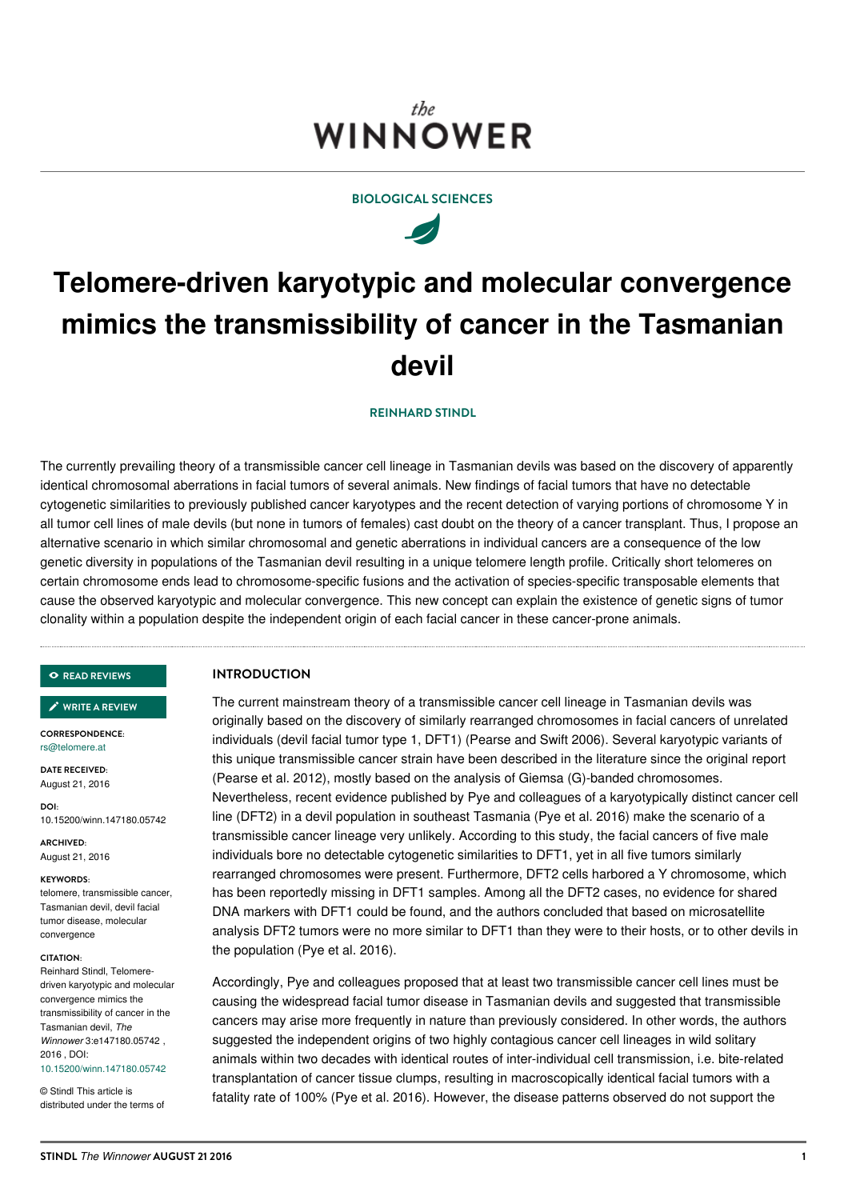## the. **WINNOWER**

## **BIOLOGICAL SCIENCES**

 $\overline{\mathscr{A}}$ 

# **Telomere-driven karyotypic and molecular convergence mimics the transmissibility of cancer in the Tasmanian devil**

## **[REINHARD](/users/70) STINDL**

The currently prevailing theory of a transmissible cancer cell lineage in Tasmanian devils was based on the discovery of apparently identical chromosomal aberrations in facial tumors of several animals. New findings of facial tumors that have no detectable cytogenetic similarities to previously published cancer karyotypes and the recent detection of varying portions of chromosome Y in all tumor cell lines of male devils (but none in tumors of females) cast doubt on the theory of a cancer transplant. Thus, I propose an alternative scenario in which similar chromosomal and genetic aberrations in individual cancers are a consequence of the low genetic diversity in populations of the Tasmanian devil resulting in a unique telomere length profile. Critically short telomeres on certain chromosome ends lead to chromosome-specific fusions and the activation of species-specific transposable elements that cause the observed karyotypic and molecular convergence. This new concept can explain the existence of genetic signs of tumor clonality within a population despite the independent origin of each facial cancer in these cancer-prone animals.

### **READ [REVIEWS](https://thewinnower.com/papers/5217-telomere-driven-karyotypic-and-molecular-convergence-mimics-the-transmissibility-of-cancer-in-the-tasmanian-devil#submit)**

## **WRITE A [REVIEW](https://thewinnower.com/papers/5217-telomere-driven-karyotypic-and-molecular-convergence-mimics-the-transmissibility-of-cancer-in-the-tasmanian-devil#submit)** ✎

**CORRESPONDENCE:** [rs@telomere.at](mailto:rs@telomere.at)

**DATE RECEIVED:** August 21, 2016

**DOI:** 10.15200/winn.147180.05742

**ARCHIVED:** August 21, 2016

#### **KEYWORDS:**

telomere, transmissible cancer, Tasmanian devil, devil facial tumor disease, molecular convergence

#### **CITATION:**

Reinhard Stindl, Telomeredriven karyotypic and molecular convergence mimics the transmissibility of cancer in the Tasmanian devil, *The Winnower* 3:e147180.05742 , 2016 , DOI: [10.15200/winn.147180.05742](https://dx.doi.org/10.15200/winn.147180.05742)

© Stindl This article is distributed under the terms of

## **INTRODUCTION**

The current mainstream theory of a transmissible cancer cell lineage in Tasmanian devils was originally based on the discovery of similarly rearranged chromosomes in facial cancers of unrelated individuals (devil facial tumor type 1, DFT1) (Pearse and Swift 2006). Several karyotypic variants of this unique transmissible cancer strain have been described in the literature since the original report (Pearse et al. 2012), mostly based on the analysis of Giemsa (G)-banded chromosomes. Nevertheless, recent evidence published by Pye and colleagues of a karyotypically distinct cancer cell line (DFT2) in a devil population in southeast Tasmania (Pye et al. 2016) make the scenario of a transmissible cancer lineage very unlikely. According to this study, the facial cancers of five male individuals bore no detectable cytogenetic similarities to DFT1, yet in all five tumors similarly rearranged chromosomes were present. Furthermore, DFT2 cells harbored a Y chromosome, which has been reportedly missing in DFT1 samples. Among all the DFT2 cases, no evidence for shared DNA markers with DFT1 could be found, and the authors concluded that based on microsatellite analysis DFT2 tumors were no more similar to DFT1 than they were to their hosts, or to other devils in the population (Pye et al. 2016).

Accordingly, Pye and colleagues proposed that at least two transmissible cancer cell lines must be causing the widespread facial tumor disease in Tasmanian devils and suggested that transmissible cancers may arise more frequently in nature than previously considered. In other words, the authors suggested the independent origins of two highly contagious cancer cell lineages in wild solitary animals within two decades with identical routes of inter-individual cell transmission, i.e. bite-related transplantation of cancer tissue clumps, resulting in macroscopically identical facial tumors with a fatality rate of 100% (Pye et al. 2016). However, the disease patterns observed do not support the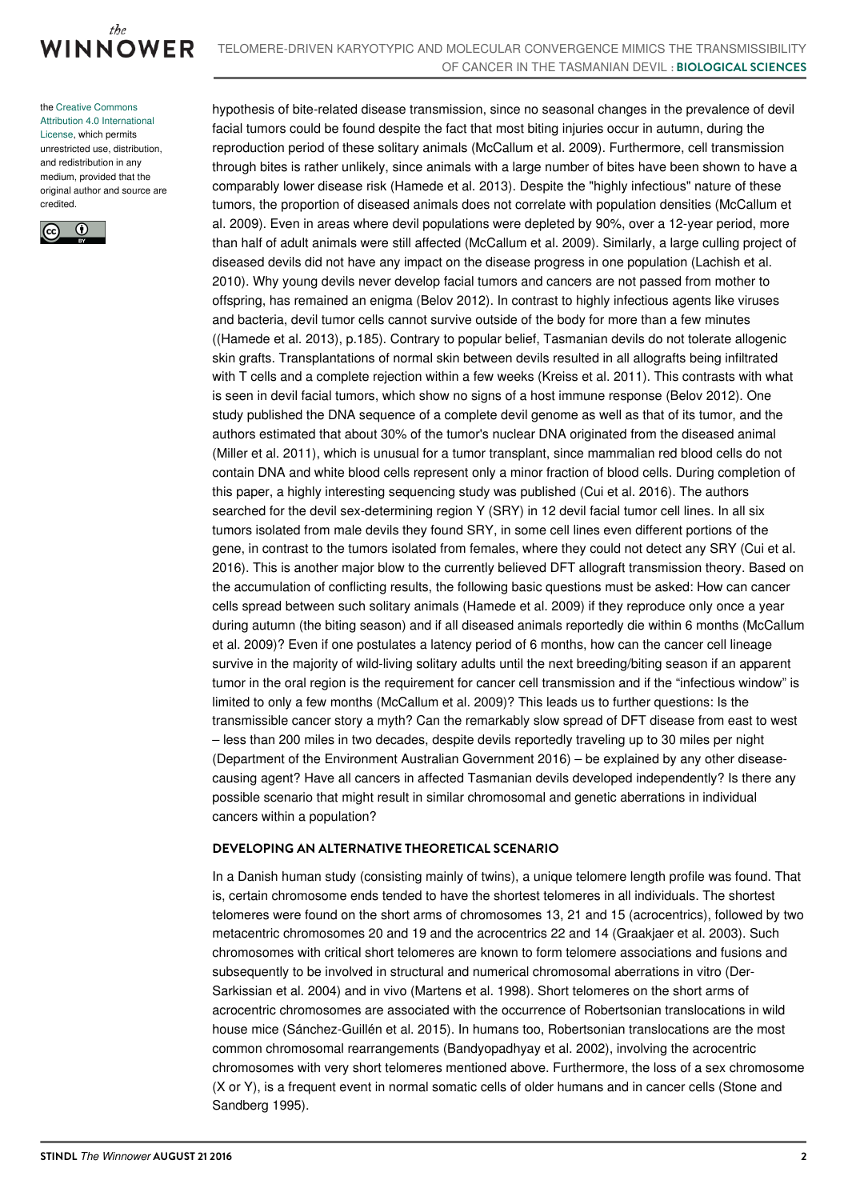

the Creative Commons Attribution 4.0 [International](https://creativecommons.org/licenses/by/4.0/) License, which permits unrestricted use, distribution, and redistribution in any medium, provided that the original author and source are credited.



hypothesis of bite-related disease transmission, since no seasonal changes in the prevalence of devil facial tumors could be found despite the fact that most biting injuries occur in autumn, during the reproduction period of these solitary animals (McCallum et al. 2009). Furthermore, cell transmission through bites is rather unlikely, since animals with a large number of bites have been shown to have a comparably lower disease risk (Hamede et al. 2013). Despite the "highly infectious" nature of these tumors, the proportion of diseased animals does not correlate with population densities (McCallum et al. 2009). Even in areas where devil populations were depleted by 90%, over a 12-year period, more than half of adult animals were still affected (McCallum et al. 2009). Similarly, a large culling project of diseased devils did not have any impact on the disease progress in one population (Lachish et al. 2010). Why young devils never develop facial tumors and cancers are not passed from mother to offspring, has remained an enigma (Belov 2012). In contrast to highly infectious agents like viruses and bacteria, devil tumor cells cannot survive outside of the body for more than a few minutes ((Hamede et al. 2013), p.185). Contrary to popular belief, Tasmanian devils do not tolerate allogenic skin grafts. Transplantations of normal skin between devils resulted in all allografts being infiltrated with T cells and a complete rejection within a few weeks (Kreiss et al. 2011). This contrasts with what is seen in devil facial tumors, which show no signs of a host immune response (Belov 2012). One study published the DNA sequence of a complete devil genome as well as that of its tumor, and the authors estimated that about 30% of the tumor's nuclear DNA originated from the diseased animal (Miller et al. 2011), which is unusual for a tumor transplant, since mammalian red blood cells do not contain DNA and white blood cells represent only a minor fraction of blood cells. During completion of this paper, a highly interesting sequencing study was published (Cui et al. 2016). The authors searched for the devil sex-determining region Y (SRY) in 12 devil facial tumor cell lines. In all six tumors isolated from male devils they found SRY, in some cell lines even different portions of the gene, in contrast to the tumors isolated from females, where they could not detect any SRY (Cui et al. 2016). This is another major blow to the currently believed DFT allograft transmission theory. Based on the accumulation of conflicting results, the following basic questions must be asked: How can cancer cells spread between such solitary animals (Hamede et al. 2009) if they reproduce only once a year during autumn (the biting season) and if all diseased animals reportedly die within 6 months (McCallum et al. 2009)? Even if one postulates a latency period of 6 months, how can the cancer cell lineage survive in the majority of wild-living solitary adults until the next breeding/biting season if an apparent tumor in the oral region is the requirement for cancer cell transmission and if the "infectious window" is limited to only a few months (McCallum et al. 2009)? This leads us to further questions: Is the transmissible cancer story a myth? Can the remarkably slow spread of DFT disease from east to west – less than 200 miles in two decades, despite devils reportedly traveling up to 30 miles per night (Department of the Environment Australian Government 2016) – be explained by any other diseasecausing agent? Have all cancers in affected Tasmanian devils developed independently? Is there any possible scenario that might result in similar chromosomal and genetic aberrations in individual cancers within a population?

## **DEVELOPING AN ALTERNATIVE THEORETICAL SCENARIO**

In a Danish human study (consisting mainly of twins), a unique telomere length profile was found. That is, certain chromosome ends tended to have the shortest telomeres in all individuals. The shortest telomeres were found on the short arms of chromosomes 13, 21 and 15 (acrocentrics), followed by two metacentric chromosomes 20 and 19 and the acrocentrics 22 and 14 (Graakjaer et al. 2003). Such chromosomes with critical short telomeres are known to form telomere associations and fusions and subsequently to be involved in structural and numerical chromosomal aberrations in vitro (Der-Sarkissian et al. 2004) and in vivo (Martens et al. 1998). Short telomeres on the short arms of acrocentric chromosomes are associated with the occurrence of Robertsonian translocations in wild house mice (Sánchez-Guillén et al. 2015). In humans too, Robertsonian translocations are the most common chromosomal rearrangements (Bandyopadhyay et al. 2002), involving the acrocentric chromosomes with very short telomeres mentioned above. Furthermore, the loss of a sex chromosome (X or Y), is a frequent event in normal somatic cells of older humans and in cancer cells (Stone and Sandberg 1995).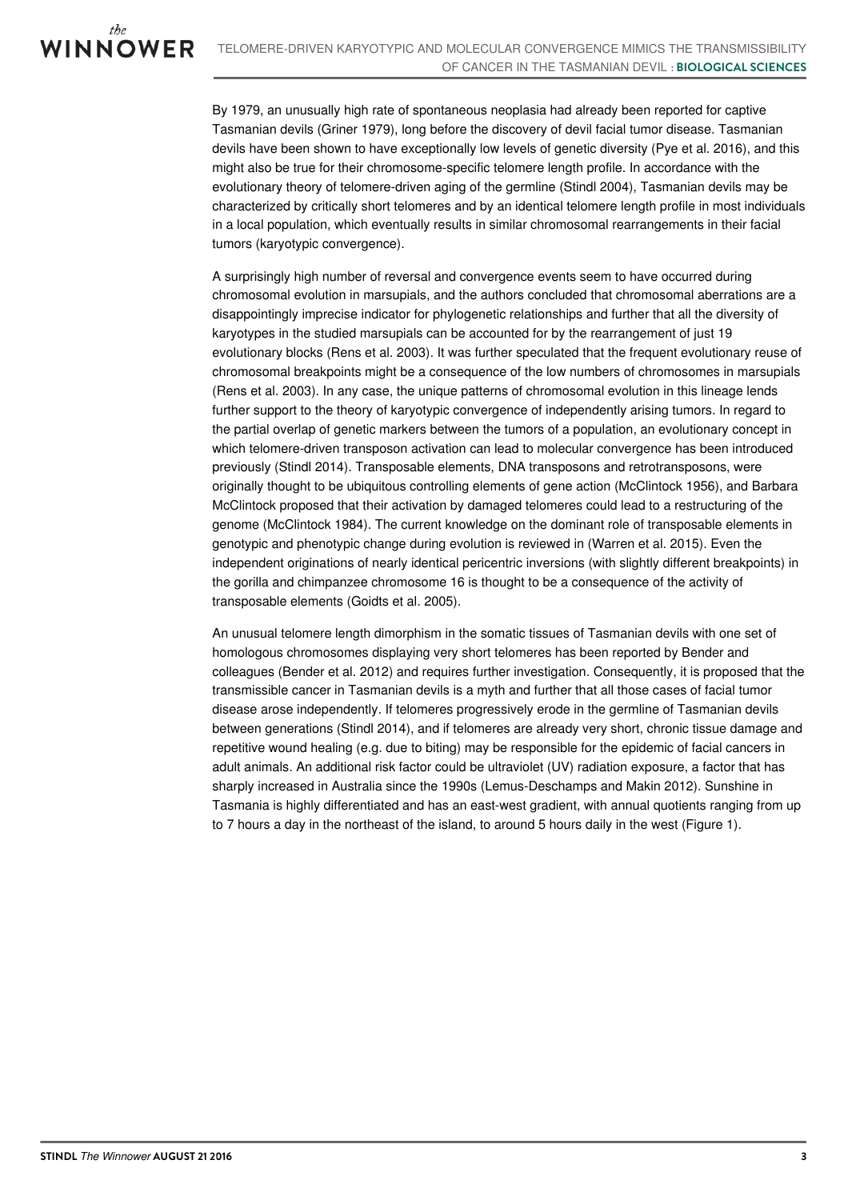By 1979, an unusually high rate of spontaneous neoplasia had already been reported for captive Tasmanian devils (Griner 1979), long before the discovery of devil facial tumor disease. Tasmanian devils have been shown to have exceptionally low levels of genetic diversity (Pye et al. 2016), and this might also be true for their chromosome-specific telomere length profile. In accordance with the evolutionary theory of telomere-driven aging of the germline (Stindl 2004), Tasmanian devils may be characterized by critically short telomeres and by an identical telomere length profile in most individuals in a local population, which eventually results in similar chromosomal rearrangements in their facial tumors (karyotypic convergence).

A surprisingly high number of reversal and convergence events seem to have occurred during chromosomal evolution in marsupials, and the authors concluded that chromosomal aberrations are a disappointingly imprecise indicator for phylogenetic relationships and further that all the diversity of karyotypes in the studied marsupials can be accounted for by the rearrangement of just 19 evolutionary blocks (Rens et al. 2003). It was further speculated that the frequent evolutionary reuse of chromosomal breakpoints might be a consequence of the low numbers of chromosomes in marsupials (Rens et al. 2003). In any case, the unique patterns of chromosomal evolution in this lineage lends further support to the theory of karyotypic convergence of independently arising tumors. In regard to the partial overlap of genetic markers between the tumors of a population, an evolutionary concept in which telomere-driven transposon activation can lead to molecular convergence has been introduced previously (Stindl 2014). Transposable elements, DNA transposons and retrotransposons, were originally thought to be ubiquitous controlling elements of gene action (McClintock 1956), and Barbara McClintock proposed that their activation by damaged telomeres could lead to a restructuring of the genome (McClintock 1984). The current knowledge on the dominant role of transposable elements in genotypic and phenotypic change during evolution is reviewed in (Warren et al. 2015). Even the independent originations of nearly identical pericentric inversions (with slightly different breakpoints) in the gorilla and chimpanzee chromosome 16 is thought to be a consequence of the activity of transposable elements (Goidts et al. 2005).

An unusual telomere length dimorphism in the somatic tissues of Tasmanian devils with one set of homologous chromosomes displaying very short telomeres has been reported by Bender and colleagues (Bender et al. 2012) and requires further investigation. Consequently, it is proposed that the transmissible cancer in Tasmanian devils is a myth and further that all those cases of facial tumor disease arose independently. If telomeres progressively erode in the germline of Tasmanian devils between generations (Stindl 2014), and if telomeres are already very short, chronic tissue damage and repetitive wound healing (e.g. due to biting) may be responsible for the epidemic of facial cancers in adult animals. An additional risk factor could be ultraviolet (UV) radiation exposure, a factor that has sharply increased in Australia since the 1990s (Lemus-Deschamps and Makin 2012). Sunshine in Tasmania is highly differentiated and has an east-west gradient, with annual quotients ranging from up to 7 hours a day in the northeast of the island, to around 5 hours daily in the west (Figure 1).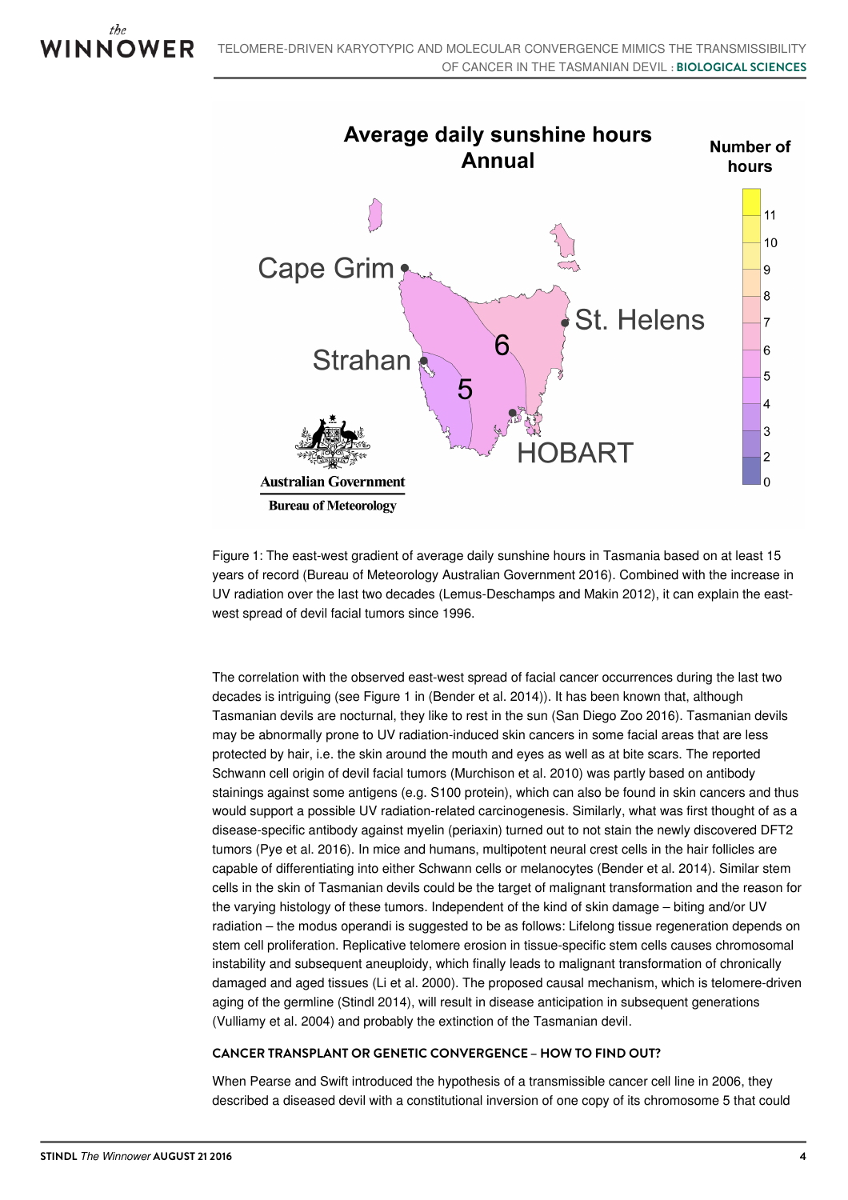

Figure 1: The east-west gradient of average daily sunshine hours in Tasmania based on at least 15 years of record (Bureau of Meteorology Australian Government 2016). Combined with the increase in UV radiation over the last two decades (Lemus-Deschamps and Makin 2012), it can explain the eastwest spread of devil facial tumors since 1996.

The correlation with the observed east-west spread of facial cancer occurrences during the last two decades is intriguing (see Figure 1 in (Bender et al. 2014)). It has been known that, although Tasmanian devils are nocturnal, they like to rest in the sun (San Diego Zoo 2016). Tasmanian devils may be abnormally prone to UV radiation-induced skin cancers in some facial areas that are less protected by hair, i.e. the skin around the mouth and eyes as well as at bite scars. The reported Schwann cell origin of devil facial tumors (Murchison et al. 2010) was partly based on antibody stainings against some antigens (e.g. S100 protein), which can also be found in skin cancers and thus would support a possible UV radiation-related carcinogenesis. Similarly, what was first thought of as a disease-specific antibody against myelin (periaxin) turned out to not stain the newly discovered DFT2 tumors (Pye et al. 2016). In mice and humans, multipotent neural crest cells in the hair follicles are capable of differentiating into either Schwann cells or melanocytes (Bender et al. 2014). Similar stem cells in the skin of Tasmanian devils could be the target of malignant transformation and the reason for the varying histology of these tumors. Independent of the kind of skin damage – biting and/or UV radiation – the modus operandi is suggested to be as follows: Lifelong tissue regeneration depends on stem cell proliferation. Replicative telomere erosion in tissue-specific stem cells causes chromosomal instability and subsequent aneuploidy, which finally leads to malignant transformation of chronically damaged and aged tissues (Li et al. 2000). The proposed causal mechanism, which is telomere-driven aging of the germline (Stindl 2014), will result in disease anticipation in subsequent generations (Vulliamy et al. 2004) and probably the extinction of the Tasmanian devil.

## **CANCER TRANSPLANT OR GENETIC CONVERGENCE – HOW TO FIND OUT?**

When Pearse and Swift introduced the hypothesis of a transmissible cancer cell line in 2006, they described a diseased devil with a constitutional inversion of one copy of its chromosome 5 that could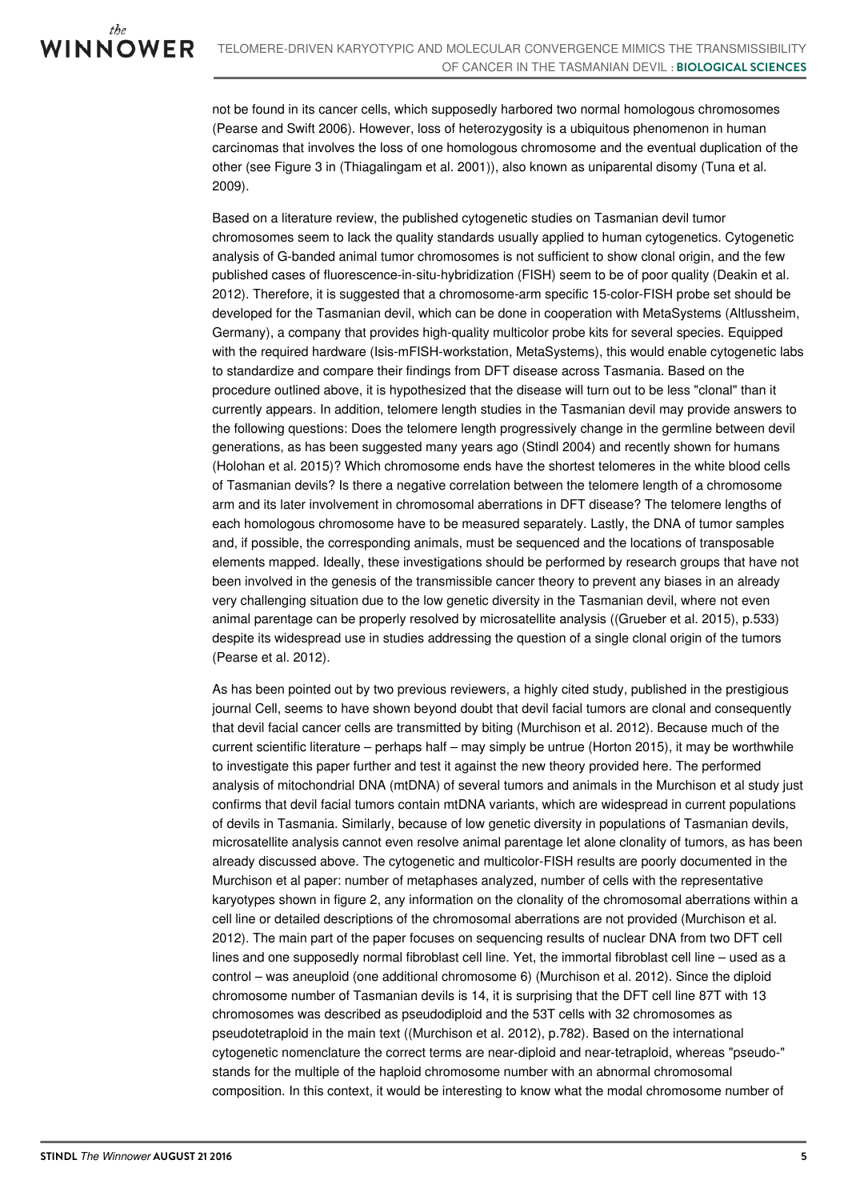not be found in its cancer cells, which supposedly harbored two normal homologous chromosomes (Pearse and Swift 2006). However, loss of heterozygosity is a ubiquitous phenomenon in human carcinomas that involves the loss of one homologous chromosome and the eventual duplication of the other (see Figure 3 in (Thiagalingam et al. 2001)), also known as uniparental disomy (Tuna et al. 2009).

Based on a literature review, the published cytogenetic studies on Tasmanian devil tumor chromosomes seem to lack the quality standards usually applied to human cytogenetics. Cytogenetic analysis of G-banded animal tumor chromosomes is not sufficient to show clonal origin, and the few published cases of fluorescence-in-situ-hybridization (FISH) seem to be of poor quality (Deakin et al. 2012). Therefore, it is suggested that a chromosome-arm specific 15-color-FISH probe set should be developed for the Tasmanian devil, which can be done in cooperation with MetaSystems (Altlussheim, Germany), a company that provides high-quality multicolor probe kits for several species. Equipped with the required hardware (Isis-mFISH-workstation, MetaSystems), this would enable cytogenetic labs to standardize and compare their findings from DFT disease across Tasmania. Based on the procedure outlined above, it is hypothesized that the disease will turn out to be less "clonal" than it currently appears. In addition, telomere length studies in the Tasmanian devil may provide answers to the following questions: Does the telomere length progressively change in the germline between devil generations, as has been suggested many years ago (Stindl 2004) and recently shown for humans (Holohan et al. 2015)? Which chromosome ends have the shortest telomeres in the white blood cells of Tasmanian devils? Is there a negative correlation between the telomere length of a chromosome arm and its later involvement in chromosomal aberrations in DFT disease? The telomere lengths of each homologous chromosome have to be measured separately. Lastly, the DNA of tumor samples and, if possible, the corresponding animals, must be sequenced and the locations of transposable elements mapped. Ideally, these investigations should be performed by research groups that have not been involved in the genesis of the transmissible cancer theory to prevent any biases in an already very challenging situation due to the low genetic diversity in the Tasmanian devil, where not even animal parentage can be properly resolved by microsatellite analysis ((Grueber et al. 2015), p.533) despite its widespread use in studies addressing the question of a single clonal origin of the tumors (Pearse et al. 2012).

As has been pointed out by two previous reviewers, a highly cited study, published in the prestigious journal Cell, seems to have shown beyond doubt that devil facial tumors are clonal and consequently that devil facial cancer cells are transmitted by biting (Murchison et al. 2012). Because much of the current scientific literature – perhaps half – may simply be untrue (Horton 2015), it may be worthwhile to investigate this paper further and test it against the new theory provided here. The performed analysis of mitochondrial DNA (mtDNA) of several tumors and animals in the Murchison et al study just confirms that devil facial tumors contain mtDNA variants, which are widespread in current populations of devils in Tasmania. Similarly, because of low genetic diversity in populations of Tasmanian devils, microsatellite analysis cannot even resolve animal parentage let alone clonality of tumors, as has been already discussed above. The cytogenetic and multicolor-FISH results are poorly documented in the Murchison et al paper: number of metaphases analyzed, number of cells with the representative karyotypes shown in figure 2, any information on the clonality of the chromosomal aberrations within a cell line or detailed descriptions of the chromosomal aberrations are not provided (Murchison et al. 2012). The main part of the paper focuses on sequencing results of nuclear DNA from two DFT cell lines and one supposedly normal fibroblast cell line. Yet, the immortal fibroblast cell line – used as a control – was aneuploid (one additional chromosome 6) (Murchison et al. 2012). Since the diploid chromosome number of Tasmanian devils is 14, it is surprising that the DFT cell line 87T with 13 chromosomes was described as pseudodiploid and the 53T cells with 32 chromosomes as pseudotetraploid in the main text ((Murchison et al. 2012), p.782). Based on the international cytogenetic nomenclature the correct terms are near-diploid and near-tetraploid, whereas "pseudo-" stands for the multiple of the haploid chromosome number with an abnormal chromosomal composition. In this context, it would be interesting to know what the modal chromosome number of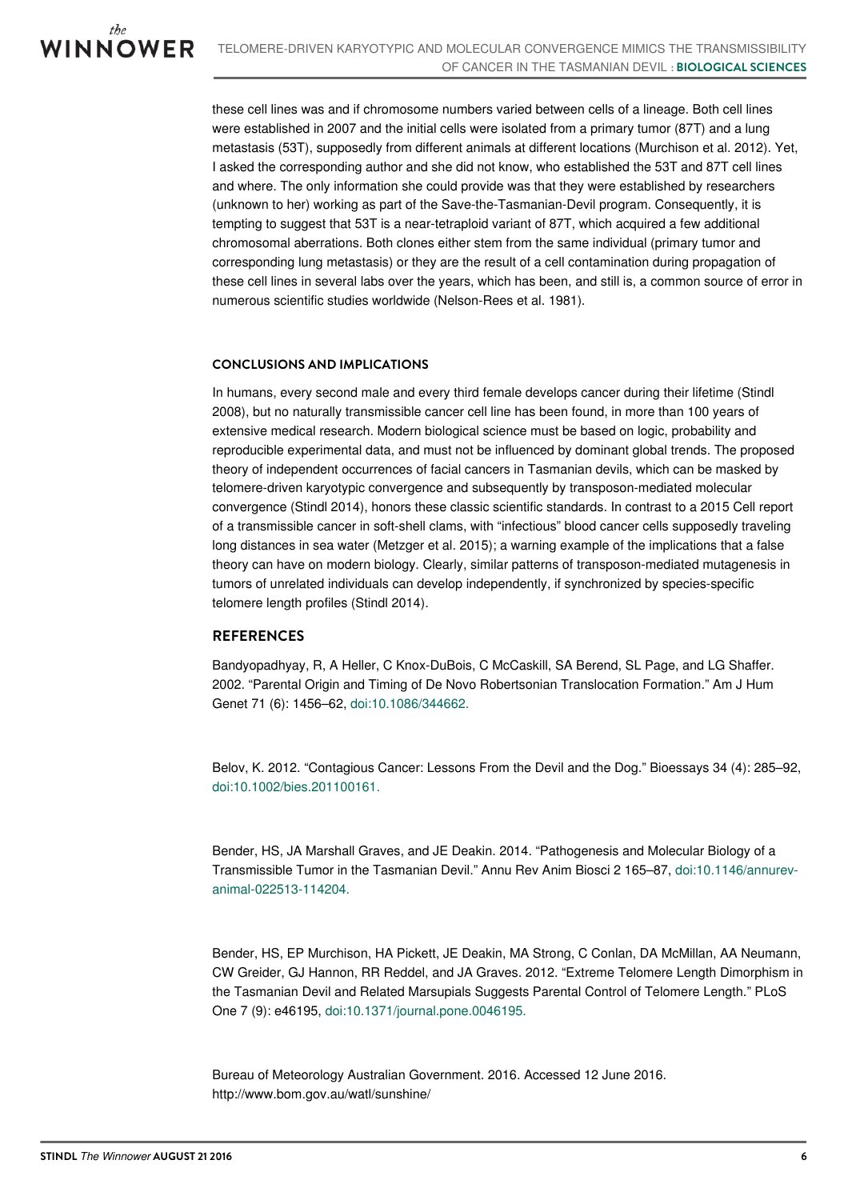these cell lines was and if chromosome numbers varied between cells of a lineage. Both cell lines were established in 2007 and the initial cells were isolated from a primary tumor (87T) and a lung metastasis (53T), supposedly from different animals at different locations (Murchison et al. 2012). Yet, I asked the corresponding author and she did not know, who established the 53T and 87T cell lines and where. The only information she could provide was that they were established by researchers (unknown to her) working as part of the Save-the-Tasmanian-Devil program. Consequently, it is tempting to suggest that 53T is a near-tetraploid variant of 87T, which acquired a few additional chromosomal aberrations. Both clones either stem from the same individual (primary tumor and corresponding lung metastasis) or they are the result of a cell contamination during propagation of these cell lines in several labs over the years, which has been, and still is, a common source of error in numerous scientific studies worldwide (Nelson-Rees et al. 1981).

## **CONCLUSIONS AND IMPLICATIONS**

In humans, every second male and every third female develops cancer during their lifetime (Stindl 2008), but no naturally transmissible cancer cell line has been found, in more than 100 years of extensive medical research. Modern biological science must be based on logic, probability and reproducible experimental data, and must not be influenced by dominant global trends. The proposed theory of independent occurrences of facial cancers in Tasmanian devils, which can be masked by telomere-driven karyotypic convergence and subsequently by transposon-mediated molecular convergence (Stindl 2014), honors these classic scientific standards. In contrast to a 2015 Cell report of a transmissible cancer in soft-shell clams, with "infectious" blood cancer cells supposedly traveling long distances in sea water (Metzger et al. 2015); a warning example of the implications that a false theory can have on modern biology. Clearly, similar patterns of transposon-mediated mutagenesis in tumors of unrelated individuals can develop independently, if synchronized by species-specific telomere length profiles (Stindl 2014).

## **REFERENCES**

Bandyopadhyay, R, A Heller, C Knox-DuBois, C McCaskill, SA Berend, SL Page, and LG Shaffer. 2002. "Parental Origin and Timing of De Novo Robertsonian Translocation Formation." Am J Hum Genet 71 (6): 1456–62, [doi:10.1086/344662.](https://dx.doi.org/10.1086/344662)

Belov, K. 2012. "Contagious Cancer: Lessons From the Devil and the Dog." Bioessays 34 (4): 285–92, [doi:10.1002/bies.201100161.](https://dx.doi.org/10.1002/bies.201100161)

Bender, HS, JA Marshall Graves, and JE Deakin. 2014. "Pathogenesis and Molecular Biology of a Transmissible Tumor in the Tasmanian Devil." Annu Rev Anim Biosci 2 165–87, doi:10.1146/annurev[animal-022513-114204.](https://dx.doi.org/10.1146/annurev-animal-022513-114204)

Bender, HS, EP Murchison, HA Pickett, JE Deakin, MA Strong, C Conlan, DA McMillan, AA Neumann, CW Greider, GJ Hannon, RR Reddel, and JA Graves. 2012. "Extreme Telomere Length Dimorphism in the Tasmanian Devil and Related Marsupials Suggests Parental Control of Telomere Length." PLoS One 7 (9): e46195, [doi:10.1371/journal.pone.0046195.](https://dx.doi.org/10.1371/journal.pone.0046195)

Bureau of Meteorology Australian Government. 2016. Accessed 12 June 2016. http://www.bom.gov.au/watl/sunshine/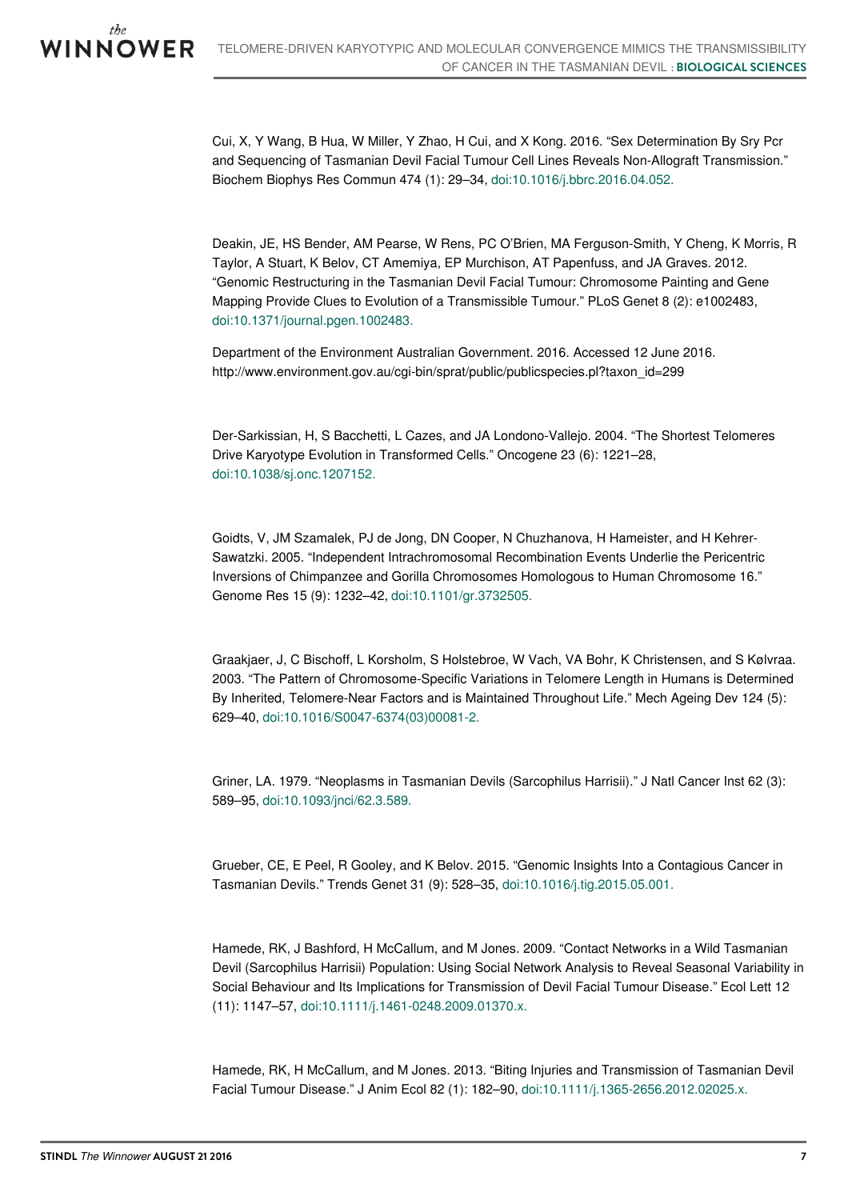Cui, X, Y Wang, B Hua, W Miller, Y Zhao, H Cui, and X Kong. 2016. "Sex Determination By Sry Pcr and Sequencing of Tasmanian Devil Facial Tumour Cell Lines Reveals Non-Allograft Transmission." Biochem Biophys Res Commun 474 (1): 29–34, [doi:10.1016/j.bbrc.2016.04.052.](https://dx.doi.org/10.1016/j.bbrc.2016.04.052)

Deakin, JE, HS Bender, AM Pearse, W Rens, PC O'Brien, MA Ferguson-Smith, Y Cheng, K Morris, R Taylor, A Stuart, K Belov, CT Amemiya, EP Murchison, AT Papenfuss, and JA Graves. 2012. "Genomic Restructuring in the Tasmanian Devil Facial Tumour: Chromosome Painting and Gene Mapping Provide Clues to Evolution of a Transmissible Tumour." PLoS Genet 8 (2): e1002483, [doi:10.1371/journal.pgen.1002483.](https://dx.doi.org/10.1371/journal.pgen.1002483)

Department of the Environment Australian Government. 2016. Accessed 12 June 2016. http://www.environment.gov.au/cgi-bin/sprat/public/publicspecies.pl?taxon\_id=299

Der-Sarkissian, H, S Bacchetti, L Cazes, and JA Londono-Vallejo. 2004. "The Shortest Telomeres Drive Karyotype Evolution in Transformed Cells." Oncogene 23 (6): 1221–28, [doi:10.1038/sj.onc.1207152.](https://dx.doi.org/10.1038/sj.onc.1207152)

Goidts, V, JM Szamalek, PJ de Jong, DN Cooper, N Chuzhanova, H Hameister, and H Kehrer-Sawatzki. 2005. "Independent Intrachromosomal Recombination Events Underlie the Pericentric Inversions of Chimpanzee and Gorilla Chromosomes Homologous to Human Chromosome 16." Genome Res 15 (9): 1232–42, [doi:10.1101/gr.3732505.](https://dx.doi.org/10.1101/gr.3732505)

Graakjaer, J, C Bischoff, L Korsholm, S Holstebroe, W Vach, VA Bohr, K Christensen, and S Kølvraa. 2003. "The Pattern of Chromosome-Specific Variations in Telomere Length in Humans is Determined By Inherited, Telomere-Near Factors and is Maintained Throughout Life." Mech Ageing Dev 124 (5): 629–40, [doi:10.1016/S0047-6374\(03\)00081-2.](https://dx.doi.org/10.1016/S0047-6374(03)00081-2)

Griner, LA. 1979. "Neoplasms in Tasmanian Devils (Sarcophilus Harrisii)." J Natl Cancer Inst 62 (3): 589–95, [doi:10.1093/jnci/62.3.589.](https://dx.doi.org/10.1093/jnci/62.3.589)

Grueber, CE, E Peel, R Gooley, and K Belov. 2015. "Genomic Insights Into a Contagious Cancer in Tasmanian Devils." Trends Genet 31 (9): 528–35, [doi:10.1016/j.tig.2015.05.001.](https://dx.doi.org/10.1016/j.tig.2015.05.001)

Hamede, RK, J Bashford, H McCallum, and M Jones. 2009. "Contact Networks in a Wild Tasmanian Devil (Sarcophilus Harrisii) Population: Using Social Network Analysis to Reveal Seasonal Variability in Social Behaviour and Its Implications for Transmission of Devil Facial Tumour Disease." Ecol Lett 12 (11): 1147–57, [doi:10.1111/j.1461-0248.2009.01370.x.](https://dx.doi.org/10.1111/j.1461-0248.2009.01370.x)

Hamede, RK, H McCallum, and M Jones. 2013. "Biting Injuries and Transmission of Tasmanian Devil Facial Tumour Disease." J Anim Ecol 82 (1): 182–90, [doi:10.1111/j.1365-2656.2012.02025.x.](https://dx.doi.org/10.1111/j.1365-2656.2012.02025.x)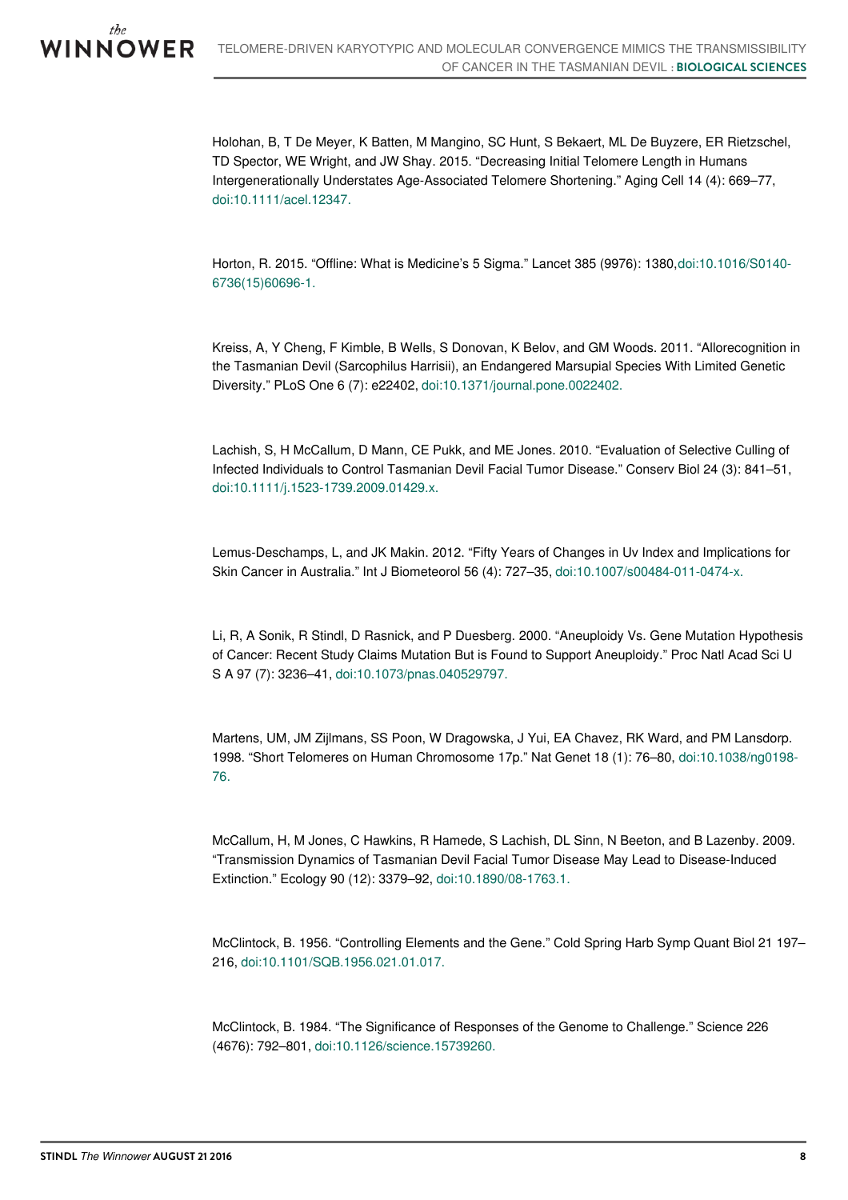Holohan, B, T De Meyer, K Batten, M Mangino, SC Hunt, S Bekaert, ML De Buyzere, ER Rietzschel, TD Spector, WE Wright, and JW Shay. 2015. "Decreasing Initial Telomere Length in Humans Intergenerationally Understates Age-Associated Telomere Shortening." Aging Cell 14 (4): 669–77, [doi:10.1111/acel.12347.](https://dx.doi.org/10.1111/acel.12347)

Horton, R. 2015. "Offline: What is Medicine's 5 Sigma." Lancet 385 (9976): [1380,doi:10.1016/S0140-](https://dx.doi.org/10.1016/S0140-6736(15)60696-1) 6736(15)60696-1.

Kreiss, A, Y Cheng, F Kimble, B Wells, S Donovan, K Belov, and GM Woods. 2011. "Allorecognition in the Tasmanian Devil (Sarcophilus Harrisii), an Endangered Marsupial Species With Limited Genetic Diversity." PLoS One 6 (7): e22402, [doi:10.1371/journal.pone.0022402.](https://dx.doi.org/10.1371/journal.pone.0022402)

Lachish, S, H McCallum, D Mann, CE Pukk, and ME Jones. 2010. "Evaluation of Selective Culling of Infected Individuals to Control Tasmanian Devil Facial Tumor Disease." Conserv Biol 24 (3): 841–51, [doi:10.1111/j.1523-1739.2009.01429.x.](https://dx.doi.org/10.1111/j.1523-1739.2009.01429.x)

Lemus-Deschamps, L, and JK Makin. 2012. "Fifty Years of Changes in Uv Index and Implications for Skin Cancer in Australia." Int J Biometeorol 56 (4): 727–35, [doi:10.1007/s00484-011-0474-x.](https://dx.doi.org/10.1007/s00484-011-0474-x)

Li, R, A Sonik, R Stindl, D Rasnick, and P Duesberg. 2000. "Aneuploidy Vs. Gene Mutation Hypothesis of Cancer: Recent Study Claims Mutation But is Found to Support Aneuploidy." Proc Natl Acad Sci U S A 97 (7): 3236–41, [doi:10.1073/pnas.040529797.](https://dx.doi.org/10.1073/pnas.040529797)

Martens, UM, JM Zijlmans, SS Poon, W Dragowska, J Yui, EA Chavez, RK Ward, and PM Lansdorp. 1998. "Short Telomeres on Human Chromosome 17p." Nat Genet 18 (1): 76–80, [doi:10.1038/ng0198-](https://dx.doi.org/10.1038/ng0198-76) 76.

McCallum, H, M Jones, C Hawkins, R Hamede, S Lachish, DL Sinn, N Beeton, and B Lazenby. 2009. "Transmission Dynamics of Tasmanian Devil Facial Tumor Disease May Lead to Disease-Induced Extinction." Ecology 90 (12): 3379–92, [doi:10.1890/08-1763.1.](https://dx.doi.org/10.1890/08-1763.1)

McClintock, B. 1956. "Controlling Elements and the Gene." Cold Spring Harb Symp Quant Biol 21 197– 216, [doi:10.1101/SQB.1956.021.01.017.](https://dx.doi.org/10.1101/SQB.1956.021.01.017)

McClintock, B. 1984. "The Significance of Responses of the Genome to Challenge." Science 226 (4676): 792–801, [doi:10.1126/science.15739260.](https://dx.doi.org/10.1126/science.15739260)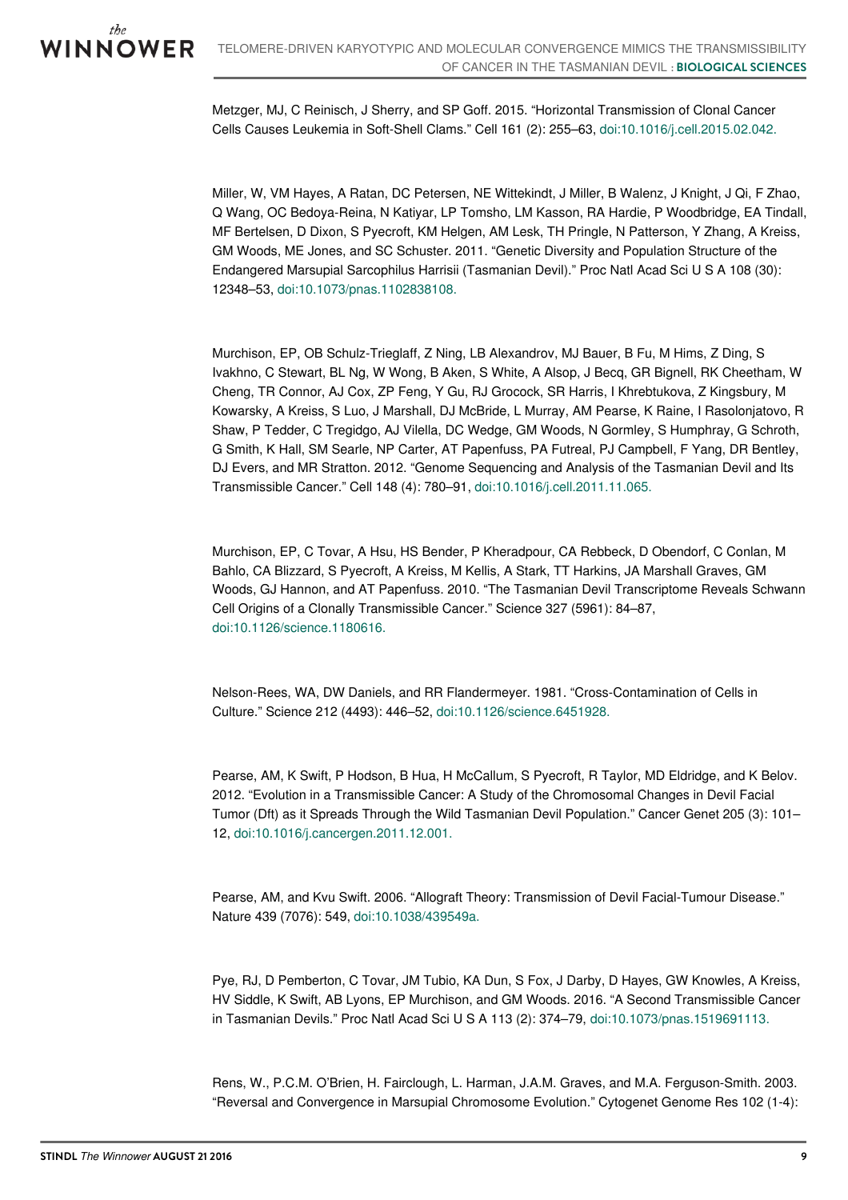Metzger, MJ, C Reinisch, J Sherry, and SP Goff. 2015. "Horizontal Transmission of Clonal Cancer Cells Causes Leukemia in Soft-Shell Clams." Cell 161 (2): 255–63, [doi:10.1016/j.cell.2015.02.042.](https://dx.doi.org/10.1016/j.cell.2015.02.042)

Miller, W, VM Hayes, A Ratan, DC Petersen, NE Wittekindt, J Miller, B Walenz, J Knight, J Qi, F Zhao, Q Wang, OC Bedoya-Reina, N Katiyar, LP Tomsho, LM Kasson, RA Hardie, P Woodbridge, EA Tindall, MF Bertelsen, D Dixon, S Pyecroft, KM Helgen, AM Lesk, TH Pringle, N Patterson, Y Zhang, A Kreiss, GM Woods, ME Jones, and SC Schuster. 2011. "Genetic Diversity and Population Structure of the Endangered Marsupial Sarcophilus Harrisii (Tasmanian Devil)." Proc Natl Acad Sci U S A 108 (30): 12348–53, [doi:10.1073/pnas.1102838108.](https://dx.doi.org/10.1073/pnas.1102838108)

Murchison, EP, OB Schulz-Trieglaff, Z Ning, LB Alexandrov, MJ Bauer, B Fu, M Hims, Z Ding, S Ivakhno, C Stewart, BL Ng, W Wong, B Aken, S White, A Alsop, J Becq, GR Bignell, RK Cheetham, W Cheng, TR Connor, AJ Cox, ZP Feng, Y Gu, RJ Grocock, SR Harris, I Khrebtukova, Z Kingsbury, M Kowarsky, A Kreiss, S Luo, J Marshall, DJ McBride, L Murray, AM Pearse, K Raine, I Rasolonjatovo, R Shaw, P Tedder, C Tregidgo, AJ Vilella, DC Wedge, GM Woods, N Gormley, S Humphray, G Schroth, G Smith, K Hall, SM Searle, NP Carter, AT Papenfuss, PA Futreal, PJ Campbell, F Yang, DR Bentley, DJ Evers, and MR Stratton. 2012. "Genome Sequencing and Analysis of the Tasmanian Devil and Its Transmissible Cancer." Cell 148 (4): 780–91, [doi:10.1016/j.cell.2011.11.065.](https://dx.doi.org/10.1016/j.cell.2011.11.065)

Murchison, EP, C Tovar, A Hsu, HS Bender, P Kheradpour, CA Rebbeck, D Obendorf, C Conlan, M Bahlo, CA Blizzard, S Pyecroft, A Kreiss, M Kellis, A Stark, TT Harkins, JA Marshall Graves, GM Woods, GJ Hannon, and AT Papenfuss. 2010. "The Tasmanian Devil Transcriptome Reveals Schwann Cell Origins of a Clonally Transmissible Cancer." Science 327 (5961): 84–87, [doi:10.1126/science.1180616.](https://dx.doi.org/10.1126/science.1180616)

Nelson-Rees, WA, DW Daniels, and RR Flandermeyer. 1981. "Cross-Contamination of Cells in Culture." Science 212 (4493): 446–52, [doi:10.1126/science.6451928.](https://dx.doi.org/10.1126/science.6451928)

Pearse, AM, K Swift, P Hodson, B Hua, H McCallum, S Pyecroft, R Taylor, MD Eldridge, and K Belov. 2012. "Evolution in a Transmissible Cancer: A Study of the Chromosomal Changes in Devil Facial Tumor (Dft) as it Spreads Through the Wild Tasmanian Devil Population." Cancer Genet 205 (3): 101– 12, [doi:10.1016/j.cancergen.2011.12.001.](https://dx.doi.org/10.1016/j.cancergen.2011.12.001)

Pearse, AM, and Kvu Swift. 2006. "Allograft Theory: Transmission of Devil Facial-Tumour Disease." Nature 439 (7076): 549, [doi:10.1038/439549a.](https://dx.doi.org/10.1038/439549a)

Pye, RJ, D Pemberton, C Tovar, JM Tubio, KA Dun, S Fox, J Darby, D Hayes, GW Knowles, A Kreiss, HV Siddle, K Swift, AB Lyons, EP Murchison, and GM Woods. 2016. "A Second Transmissible Cancer in Tasmanian Devils." Proc Natl Acad Sci U S A 113 (2): 374–79, [doi:10.1073/pnas.1519691113.](https://dx.doi.org/10.1073/pnas.1519691113)

Rens, W., P.C.M. O'Brien, H. Fairclough, L. Harman, J.A.M. Graves, and M.A. Ferguson-Smith. 2003. "Reversal and Convergence in Marsupial Chromosome Evolution." Cytogenet Genome Res 102 (1-4):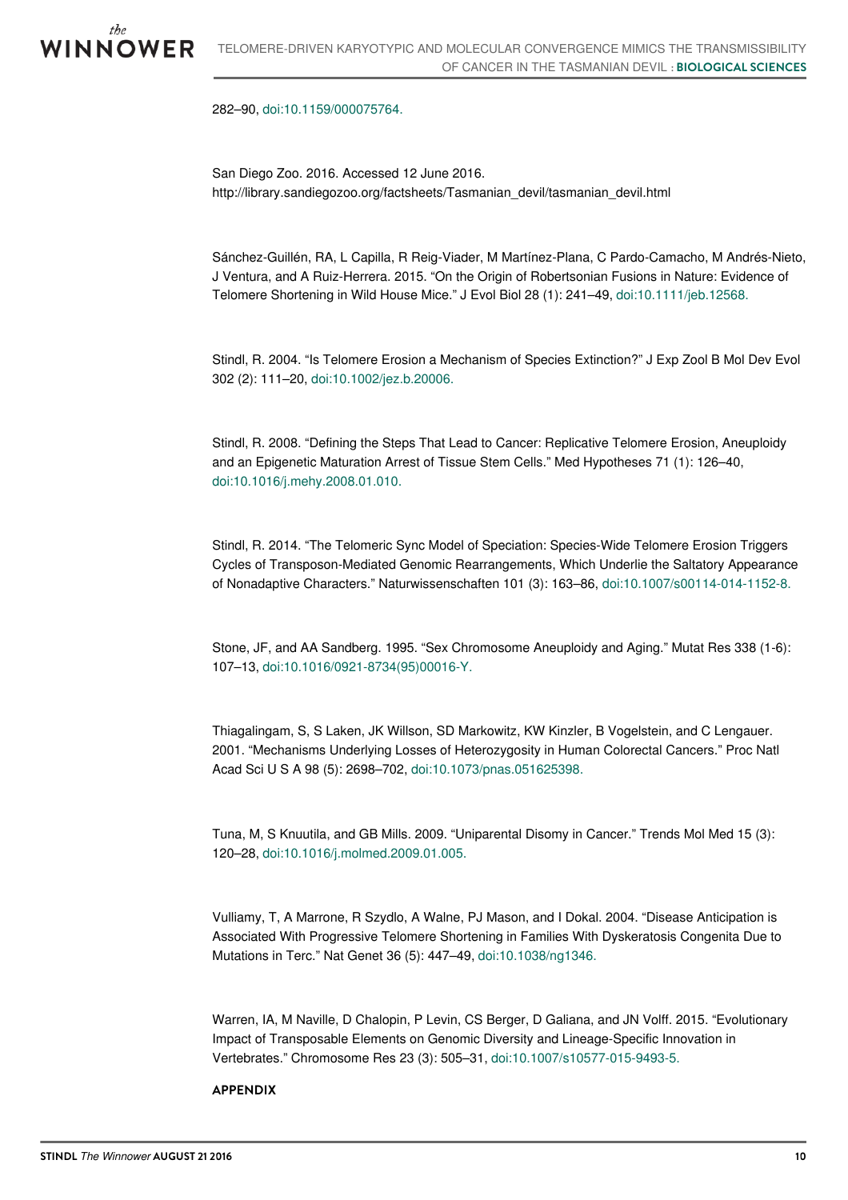282–90, [doi:10.1159/000075764.](https://dx.doi.org/10.1159/000075764)

San Diego Zoo. 2016. Accessed 12 June 2016. http://library.sandiegozoo.org/factsheets/Tasmanian\_devil/tasmanian\_devil.html

Sánchez-Guillén, RA, L Capilla, R Reig-Viader, M Martínez-Plana, C Pardo-Camacho, M Andrés-Nieto, J Ventura, and A Ruiz-Herrera. 2015. "On the Origin of Robertsonian Fusions in Nature: Evidence of Telomere Shortening in Wild House Mice." J Evol Biol 28 (1): 241–49, [doi:10.1111/jeb.12568.](https://dx.doi.org/10.1111/jeb.12568)

Stindl, R. 2004. "Is Telomere Erosion a Mechanism of Species Extinction?" J Exp Zool B Mol Dev Evol 302 (2): 111–20, [doi:10.1002/jez.b.20006.](https://dx.doi.org/10.1002/jez.b.20006)

Stindl, R. 2008. "Defining the Steps That Lead to Cancer: Replicative Telomere Erosion, Aneuploidy and an Epigenetic Maturation Arrest of Tissue Stem Cells." Med Hypotheses 71 (1): 126–40, [doi:10.1016/j.mehy.2008.01.010.](https://dx.doi.org/10.1016/j.mehy.2008.01.010)

Stindl, R. 2014. "The Telomeric Sync Model of Speciation: Species-Wide Telomere Erosion Triggers Cycles of Transposon-Mediated Genomic Rearrangements, Which Underlie the Saltatory Appearance of Nonadaptive Characters." Naturwissenschaften 101 (3): 163–86, [doi:10.1007/s00114-014-1152-8.](https://dx.doi.org/10.1007/s00114-014-1152-8)

Stone, JF, and AA Sandberg. 1995. "Sex Chromosome Aneuploidy and Aging." Mutat Res 338 (1-6): 107–13, [doi:10.1016/0921-8734\(95\)00016-Y.](https://dx.doi.org/10.1016/0921-8734(95)00016-Y)

Thiagalingam, S, S Laken, JK Willson, SD Markowitz, KW Kinzler, B Vogelstein, and C Lengauer. 2001. "Mechanisms Underlying Losses of Heterozygosity in Human Colorectal Cancers." Proc Natl Acad Sci U S A 98 (5): 2698–702, [doi:10.1073/pnas.051625398.](https://dx.doi.org/10.1073/pnas.051625398)

Tuna, M, S Knuutila, and GB Mills. 2009. "Uniparental Disomy in Cancer." Trends Mol Med 15 (3): 120–28, [doi:10.1016/j.molmed.2009.01.005.](https://dx.doi.org/10.1016/j.molmed.2009.01.005)

Vulliamy, T, A Marrone, R Szydlo, A Walne, PJ Mason, and I Dokal. 2004. "Disease Anticipation is Associated With Progressive Telomere Shortening in Families With Dyskeratosis Congenita Due to Mutations in Terc." Nat Genet 36 (5): 447–49, [doi:10.1038/ng1346.](https://dx.doi.org/10.1038/ng1346)

Warren, IA, M Naville, D Chalopin, P Levin, CS Berger, D Galiana, and JN Volff. 2015. "Evolutionary Impact of Transposable Elements on Genomic Diversity and Lineage-Specific Innovation in Vertebrates." Chromosome Res 23 (3): 505–31, [doi:10.1007/s10577-015-9493-5.](https://dx.doi.org/10.1007/s10577-015-9493-5)

## **APPENDIX**